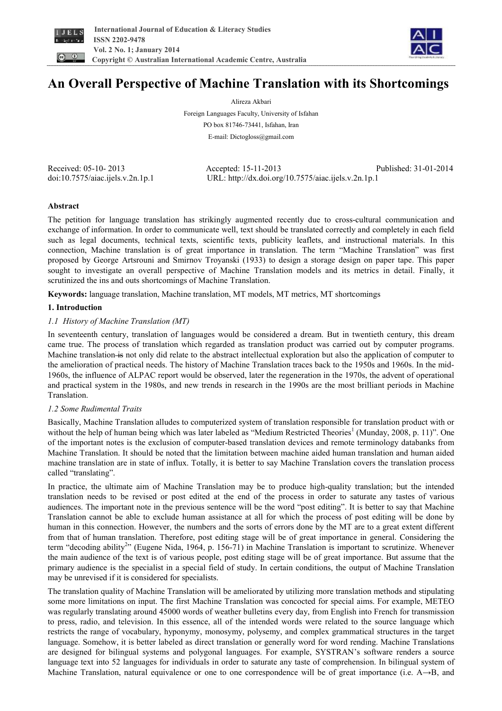



# **An Overall Perspective of Machine Translation with its Shortcomings**

Alireza Akbari

Foreign Languages Faculty, University of Isfahan PO box 81746-73441, Isfahan, Iran E-mail: Dictogloss@gmail.com

Received: 05-10- 2013 Accepted: 15-11-2013 Published: 31-01-2014 doi:10.7575/aiac.ijels.v.2n.1p.1 URL: http://dx.doi.org/10.7575/aiac.ijels.v.2n.1p.1

# **Abstract**

The petition for language translation has strikingly augmented recently due to cross-cultural communication and exchange of information. In order to communicate well, text should be translated correctly and completely in each field such as legal documents, technical texts, scientific texts, publicity leaflets, and instructional materials. In this connection, Machine translation is of great importance in translation. The term "Machine Translation" was first proposed by George Artsrouni and Smirnov Troyanski (1933) to design a storage design on paper tape. This paper sought to investigate an overall perspective of Machine Translation models and its metrics in detail. Finally, it scrutinized the ins and outs shortcomings of Machine Translation.

**Keywords:** language translation, Machine translation, MT models, MT metrics, MT shortcomings

# **1. Introduction**

# *1.1 History of Machine Translation (MT)*

In seventeenth century, translation of languages would be considered a dream. But in twentieth century, this dream came true. The process of translation which regarded as translation product was carried out by computer programs. Machine translation is not only did relate to the abstract intellectual exploration but also the application of computer to the amelioration of practical needs. The history of Machine Translation traces back to the 1950s and 1960s. In the mid-1960s, the influence of ALPAC report would be observed, later the regeneration in the 1970s, the advent of operational and practical system in the 1980s, and new trends in research in the 1990s are the most brilliant periods in Machine Translation.

# *1.2 Some Rudimental Traits*

Basically, Machine Translation alludes to computerized system of translation responsible for translation product with or without the help of human being which was later labeled as "Medium Restricted Theories<sup>1</sup> (Munday, 2008, p. 11)". One of the important notes is the exclusion of computer-based translation devices and remote terminology databanks from Machine Translation. It should be noted that the limitation between machine aided human translation and human aided machine translation are in state of influx. Totally, it is better to say Machine Translation covers the translation process called "translating".

In practice, the ultimate aim of Machine Translation may be to produce high-quality translation; but the intended translation needs to be revised or post edited at the end of the process in order to saturate any tastes of various audiences. The important note in the previous sentence will be the word "post editing". It is better to say that Machine Translation cannot be able to exclude human assistance at all for which the process of post editing will be done by human in this connection. However, the numbers and the sorts of errors done by the MT are to a great extent different from that of human translation. Therefore, post editing stage will be of great importance in general. Considering the term "decoding ability<sup>2</sup>" (Eugene Nida, 1964, p. 156-71) in Machine Translation is important to scrutinize. Whenever the main audience of the text is of various people, post editing stage will be of great importance. But assume that the primary audience is the specialist in a special field of study. In certain conditions, the output of Machine Translation may be unrevised if it is considered for specialists.

The translation quality of Machine Translation will be ameliorated by utilizing more translation methods and stipulating some more limitations on input. The first Machine Translation was concocted for special aims. For example, METEO was regularly translating around 45000 words of weather bulletins every day, from English into French for transmission to press, radio, and television. In this essence, all of the intended words were related to the source language which restricts the range of vocabulary, hyponymy, monosymy, polysemy, and complex grammatical structures in the target language. Somehow, it is better labeled as direct translation or generally word for word rending. Machine Translations are designed for bilingual systems and polygonal languages. For example, SYSTRAN's software renders a source language text into 52 languages for individuals in order to saturate any taste of comprehension. In bilingual system of Machine Translation, natural equivalence or one to one correspondence will be of great importance (i.e. A→B, and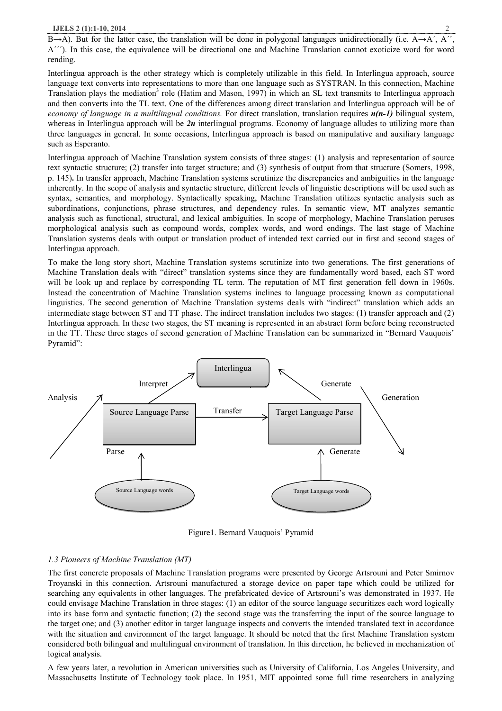$B\rightarrow A$ ). But for the latter case, the translation will be done in polygonal languages unidirectionally (i.e. A– A´´´). In this case, the equivalence will be directional one and Machine Translation cannot exoticize word for word rending.

Interlingua approach is the other strategy which is completely utilizable in this field. In Interlingua approach, source language text converts into representations to more than one language such as SYSTRAN. In this connection, Machine Translation plays the mediation<sup>3</sup> role (Hatim and Mason, 1997) in which an SL text transmits to Interlingua approach and then converts into the TL text. One of the differences among direct translation and Interlingua approach will be of *economy of language in a multilingual conditions.* For direct translation, translation requires *n(n-1)* bilingual system, whereas in Interlingua approach will be  $2n$  interlingual programs. Economy of language alludes to utilizing more than three languages in general. In some occasions, Interlingua approach is based on manipulative and auxiliary language such as Esperanto.

Interlingua approach of Machine Translation system consists of three stages: (1) analysis and representation of source text syntactic structure; (2) transfer into target structure; and (3) synthesis of output from that structure (Somers, 1998, p. 145)**.** In transfer approach, Machine Translation systems scrutinize the discrepancies and ambiguities in the language inherently. In the scope of analysis and syntactic structure, different levels of linguistic descriptions will be used such as syntax, semantics, and morphology. Syntactically speaking, Machine Translation utilizes syntactic analysis such as subordinations, conjunctions, phrase structures, and dependency rules. In semantic view, MT analyzes semantic analysis such as functional, structural, and lexical ambiguities. In scope of morphology, Machine Translation peruses morphological analysis such as compound words, complex words, and word endings. The last stage of Machine Translation systems deals with output or translation product of intended text carried out in first and second stages of Interlingua approach.

To make the long story short, Machine Translation systems scrutinize into two generations. The first generations of Machine Translation deals with "direct" translation systems since they are fundamentally word based, each ST word will be look up and replace by corresponding TL term. The reputation of MT first generation fell down in 1960s. Instead the concentration of Machine Translation systems inclines to language processing known as computational linguistics. The second generation of Machine Translation systems deals with "indirect" translation which adds an intermediate stage between ST and TT phase. The indirect translation includes two stages: (1) transfer approach and (2) Interlingua approach. In these two stages, the ST meaning is represented in an abstract form before being reconstructed in the TT. These three stages of second generation of Machine Translation can be summarized in "Bernard Vauquois' Pyramid":



Figure1. Bernard Vauquois' Pyramid

# *1.3 Pioneers of Machine Translation (MT)*

The first concrete proposals of Machine Translation programs were presented by George Artsrouni and Peter Smirnov Troyanski in this connection. Artsrouni manufactured a storage device on paper tape which could be utilized for searching any equivalents in other languages. The prefabricated device of Artsrouni's was demonstrated in 1937. He could envisage Machine Translation in three stages: (1) an editor of the source language securitizes each word logically into its base form and syntactic function; (2) the second stage was the transferring the input of the source language to the target one; and (3) another editor in target language inspects and converts the intended translated text in accordance with the situation and environment of the target language. It should be noted that the first Machine Translation system considered both bilingual and multilingual environment of translation. In this direction, he believed in mechanization of logical analysis.

A few years later, a revolution in American universities such as University of California, Los Angeles University, and Massachusetts Institute of Technology took place. In 1951, MIT appointed some full time researchers in analyzing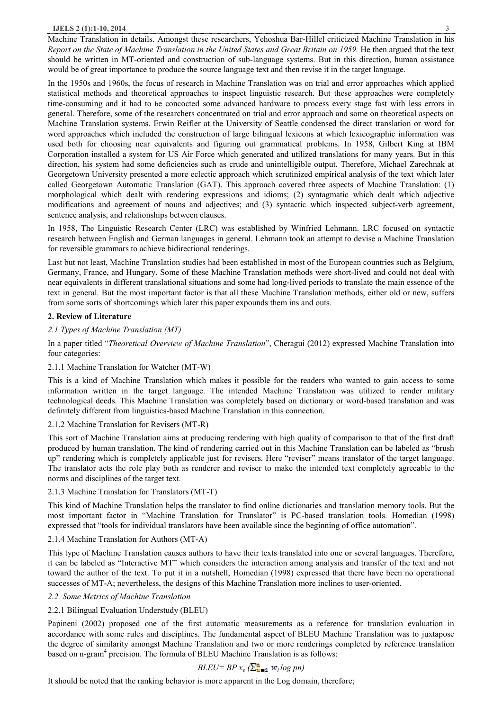Machine Translation in details. Amongst these researchers, Yehoshua Bar-Hillel criticized Machine Translation in his Report on the State of Machine Translation in the United States and Great Britain on 1959. He then argued that the text should be written in MT-oriented and construction of sub-language systems. But in this direction, human assistance would be of great importance to produce the source language text and then revise it in the target language.

In the 1950s and 1960s, the focus of research in Machine Translation was on trial and error approaches which applied statistical methods and theoretical approaches to inspect linguistic research. But these approaches were completely time-consuming and it had to be concocted some advanced hardware to process every stage fast with less errors in general. Therefore, some of the researchers concentrated on trial and error approach and some on theoretical aspects on Machine Translation systems. Erwin Reifler at the University of Seattle condensed the direct translation or word for word approaches which included the construction of large bilingual lexicons at which lexicographic information was used both for choosing near equivalents and figuring out grammatical problems. In 1958, Gilbert King at IBM Corporation installed a system for US Air Force which generated and utilized translations for many years. But in this direction, his system had some deficiencies such as crude and unintelligible output. Therefore, Michael Zarechnak at Georgetown University presented a more eclectic approach which scrutinized empirical analysis of the text which later called Georgetown Automatic Translation (GAT). This approach covered three aspects of Machine Translation: (1) morphological which dealt with rendering expressions and idioms; (2) syntagmatic which dealt which adjective modifications and agreement of nouns and adjectives; and (3) syntactic which inspected subject-verb agreement, sentence analysis, and relationships between clauses.

In 1958, The Linguistic Research Center (LRC) was established by Winfried Lehmann. LRC focused on syntactic research between English and German languages in general. Lehmann took an attempt to devise a Machine Translation for reversible grammars to achieve bidirectional renderings.

Last but not least, Machine Translation studies had been established in most of the European countries such as Belgium, Germany, France, and Hungary. Some of these Machine Translation methods were short-lived and could not deal with near equivalents in different translational situations and some had long-lived periods to translate the main essence of the text in general. But the most important factor is that all these Machine Translation methods, either old or new, suffers from some sorts of shortcomings which later this paper expounds them ins and outs.

# **2. Review of Literature**

# *2.1 Types of Machine Translation (MT)*

In a paper titled "*Theoretical Overview of Machine Translation*", Cheragui (2012) expressed Machine Translation into four categories:

# 2.1.1 Machine Translation for Watcher (MT-W)

This is a kind of Machine Translation which makes it possible for the readers who wanted to gain access to some information written in the target language. The intended Machine Translation was utilized to render military technological deeds. This Machine Translation was completely based on dictionary or word-based translation and was definitely different from linguistics-based Machine Translation in this connection.

# 2.1.2 Machine Translation for Revisers (MT-R)

This sort of Machine Translation aims at producing rendering with high quality of comparison to that of the first draft produced by human translation. The kind of rendering carried out in this Machine Translation can be labeled as "brush up" rendering which is completely applicable just for revisers. Here "reviser" means translator of the target language. The translator acts the role play both as renderer and reviser to make the intended text completely agreeable to the norms and disciplines of the target text.

# 2.1.3 Machine Translation for Translators (MT-T)

This kind of Machine Translation helps the translator to find online dictionaries and translation memory tools. But the most important factor in "Machine Translation for Translator" is PC-based translation tools. Homedian (1998) expressed that "tools for individual translators have been available since the beginning of office automation".

# 2.1.4 Machine Translation for Authors (MT-A)

This type of Machine Translation causes authors to have their texts translated into one or several languages. Therefore, it can be labeled as "Interactive MT" which considers the interaction among analysis and transfer of the text and not toward the author of the text. To put it in a nutshell, Homedian (1998) expressed that there have been no operational successes of MT-A; nevertheless, the designs of this Machine Translation more inclines to user-oriented.

# *2.2. Some Metrics of Machine Translation*

# 2.2.1 Bilingual Evaluation Understudy (BLEU)

Papineni (2002) proposed one of the first automatic measurements as a reference for translation evaluation in accordance with some rules and disciplines. The fundamental aspect of BLEU Machine Translation was to juxtapose the degree of similarity amongst Machine Translation and two or more renderings completed by reference translation based on n-gram<sup>4</sup> precision. The formula of BLEU Machine Translation is as follows:

# *BLEU= BP*  $x_e$  ( $\sum_{n=1}^{n} w_i \log pn$ )

It should be noted that the ranking behavior is more apparent in the Log domain, therefore;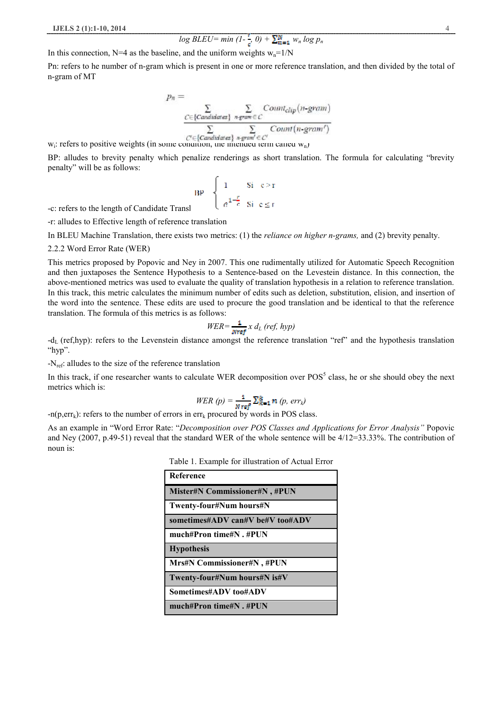$$
log BLEU = min (1-\frac{1}{r}, 0) + \sum_{m=1}^{N} w_n log p_n
$$

In this connection, N=4 as the baseline, and the uniform weights  $w_n=1/N$ 

Pn: refers to he number of n-gram which is present in one or more reference translation, and then divided by the total of n-gram of MT

$$
p_n = \sum_{\substack{C \in \{C \text{andidates}\} \ n\text{-gram} \in C}} \text{Count}_{clip}(n\text{-gram})
$$

$$
\sum_{C' \in \{C \text{andidates}\} \ n\text{-gram} \in C'} \text{Count}(n\text{-gram'})
$$

 $w_i$ : refers to positive weights (in some condition, the intended term called  $w_n$ )

BP: alludes to brevity penalty which penalize renderings as short translation. The formula for calculating "brevity penalty" will be as follows:

$$
BP = \begin{cases} 1 & \text{Si } c > r \\ \frac{1-r}{e^{1-r}} & \text{Si } c \le r \end{cases}
$$

-c: refers to the length of Candidate Transl

-r: alludes to Effective length of reference translation

In BLEU Machine Translation, there exists two metrics: (1) the *reliance on higher n-grams,* and (2) brevity penalty.

2.2.2 Word Error Rate (WER)

This metrics proposed by Popovic and Ney in 2007. This one rudimentally utilized for Automatic Speech Recognition and then juxtaposes the Sentence Hypothesis to a Sentence-based on the Levestein distance. In this connection, the above-mentioned metrics was used to evaluate the quality of translation hypothesis in a relation to reference translation. In this track, this metric calculates the minimum number of edits such as deletion, substitution, elision, and insertion of the word into the sentence. These edits are used to procure the good translation and be identical to that the reference translation. The formula of this metrics is as follows:

$$
WER = \frac{1}{\text{Nref}} x d_L (ref, hyp)
$$

 $-d_L$  (ref,hyp): refers to the Levenstein distance amongst the reference translation "ref" and the hypothesis translation "hyp".

 $-N_{ref}$ : alludes to the size of the reference translation

In this track, if one researcher wants to calculate WER decomposition over  $POS<sup>5</sup>$  class, he or she should obey the next metrics which is:

$$
WER(p) = \frac{1}{N \, \text{ref}} \sum_{k=1}^{k} n(p, \, err_k)
$$

 $-n(p,err_k)$ : refers to the number of errors in err<sub>k</sub> procured by words in POS class.

As an example in "Word Error Rate: "*Decomposition over POS Classes and Applications for Error Analysis"* Popovic and Ney (2007, p.49-51) reveal that the standard WER of the whole sentence will be 4/12=33.33%. The contribution of noun is:

Table 1. Example for illustration of Actual Error

| <b>Reference</b>                     |
|--------------------------------------|
| <b>Mister#N Commissioner#N, #PUN</b> |
| Twenty-four#Num hours#N              |
| sometimes#ADV can#V be#V too#ADV     |
| much#Pron time#N, #PUN               |
| <b>Hypothesis</b>                    |
| <b>Mrs#N Commissioner#N, #PUN</b>    |
| Twenty-four#Num hours#N is#V         |
| Sometimes#ADV too#ADV                |
| much#Pron time#N, #PUN               |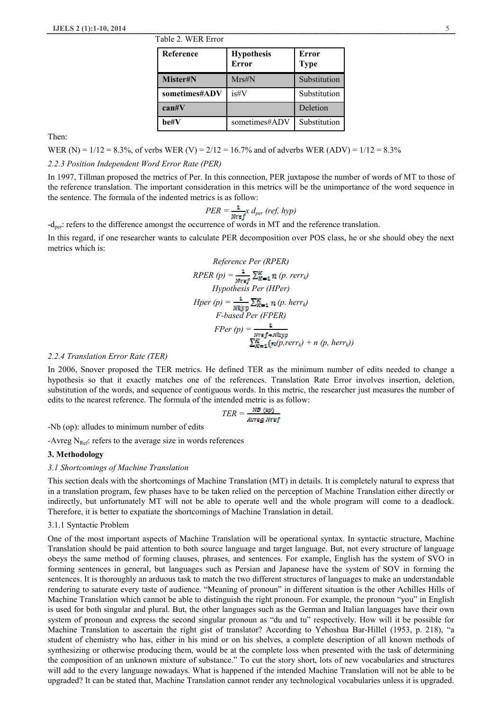| LAUIC 2. WEN EITUI |                                   |                             |  |
|--------------------|-----------------------------------|-----------------------------|--|
| Reference          | <b>Hypothesis</b><br><b>Error</b> | <b>Error</b><br><b>Type</b> |  |
| Mister#N           | $Mrs\#N$                          | Substitution                |  |
| sometimes#ADV      | is#V                              | Substitution                |  |
| $\text{can}\#V$    |                                   | Deletion                    |  |
| he#V               | sometimes#ADV                     | Substitution                |  |

Then:

WER (N) =  $1/12 = 8.3\%$ , of verbs WER (V) =  $2/12 = 16.7\%$  and of adverbs WER (ADV) =  $1/12 = 8.3\%$ 

 $T_{\rm T}$   $T_{\rm A}$   $T_{\rm C}$   $T_{\rm C}$ 

# *2.2.3 Position Independent Word Error Rate (PER)*

In 1997, Tillman proposed the metrics of Per. In this connection, PER juxtapose the number of words of MT to those of the reference translation. The important consideration in this metrics will be the unimportance of the word sequence in the sentence. The formula of the indented metrics is as follow:

$$
PER = \frac{1}{Nref} x d_{per} (ref, hyp)
$$

-dper: refers to the difference amongst the occurrence of words in MT and the reference translation.

In this regard, if one researcher wants to calculate PER decomposition over POS class, he or she should obey the next metrics which is:

Reference Per (RPER)  
\nRPER (p) = 
$$
\frac{1}{Nref}
$$
  $\sum_{K=1}^{R} n$  (p. rerr<sub>k</sub>)  
\nHypothesis Per (HPer)  
\nHper (p) =  $\frac{1}{Niryp}$   $\sum_{K=1}^{R} n$  (p. herr<sub>k</sub>)  
\nF-based Per (FPER)  
\nFPer (p) =  $\frac{1}{Nref+Niryp}$   
\n $\sum_{K=1}^{R} (n(p, rerr_k) + n (p, herr_k))$ 

# *2.2.4 Translation Error Rate (TER)*

In 2006, Snover proposed the TER metrics. He defined TER as the minimum number of edits needed to change a hypothesis so that it exactly matches one of the references. Translation Rate Error involves insertion, deletion, substitution of the words, and sequence of contiguous words. In this metric, the researcher just measures the number of edits to the nearest reference. The formula of the intended metric is as follow:

$$
TER = \frac{NB (op)}{Avreg Nref}
$$

-Nb (op): alludes to minimum number of edits

-Avreg  $N_{\text{Ref}}$ : refers to the average size in words references

#### **3. Methodology**

#### *3.1 Shortcomings of Machine Translation*

This section deals with the shortcomings of Machine Translation (MT) in details. It is completely natural to express that in a translation program, few phases have to be taken relied on the perception of Machine Translation either directly or indirectly, but unfortunately MT will not be able to operate well and the whole program will come to a deadlock. Therefore, it is better to expatiate the shortcomings of Machine Translation in detail.

#### 3.1.1 Syntactic Problem

One of the most important aspects of Machine Translation will be operational syntax. In syntactic structure, Machine Translation should be paid attention to both source language and target language. But, not every structure of language obeys the same method of forming clauses, phrases, and sentences. For example, English has the system of SVO in forming sentences in general, but languages such as Persian and Japanese have the system of SOV in forming the sentences. It is thoroughly an arduous task to match the two different structures of languages to make an understandable rendering to saturate every taste of audience. "Meaning of pronoun" in different situation is the other Achilles Hills of Machine Translation which cannot be able to distinguish the right pronoun. For example, the pronoun "you" in English is used for both singular and plural. But, the other languages such as the German and Italian languages have their own system of pronoun and express the second singular pronoun as "du and tu" respectively. How will it be possible for Machine Translation to ascertain the right gist of translator? According to Yehoshua Bar-Hillel (1953, p. 218), "a student of chemistry who has, either in his mind or on his shelves, a complete description of all known methods of synthesizing or otherwise producing them, would be at the complete loss when presented with the task of determining the composition of an unknown mixture of substance." To cut the story short, lots of new vocabularies and structures will add to the every language nowadays. What is happened if the intended Machine Translation will not be able to be upgraded? It can be stated that, Machine Translation cannot render any technological vocabularies unless it is upgraded.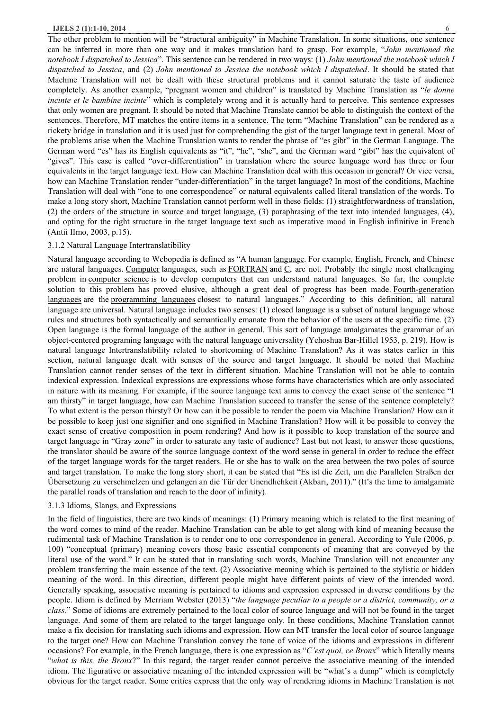The other problem to mention will be "structural ambiguity" in Machine Translation. In some situations, one sentence can be inferred in more than one way and it makes translation hard to grasp. For example, "*John mentioned the notebook I dispatched to Jessica*". This sentence can be rendered in two ways: (1) *John mentioned the notebook which I dispatched to Jessica*, and (2) *John mentioned to Jessica the notebook which I dispatched*. It should be stated that Machine Translation will not be dealt with these structural problems and it cannot saturate the taste of audience completely. As another example, "pregnant women and children" is translated by Machine Translation as "*le donne incinte et le bambine incinte*" which is completely wrong and it is actually hard to perceive. This sentence expresses that only women are pregnant. It should be noted that Machine Translate cannot be able to distinguish the context of the sentences. Therefore, MT matches the entire items in a sentence. The term "Machine Translation" can be rendered as a rickety bridge in translation and it is used just for comprehending the gist of the target language text in general. Most of the problems arise when the Machine Translation wants to render the phrase of "es gibt" in the German Language. The German word "es" has its English equivalents as "it", "he", "she", and the German ward "gibt" has the equivalent of "gives". This case is called "over-differentiation" in translation where the source language word has three or four equivalents in the target language text. How can Machine Translation deal with this occasion in general? Or vice versa, how can Machine Translation render "under-differentiation" in the target language? In most of the conditions, Machine Translation will deal with "one to one correspondence" or natural equivalents called literal translation of the words. To make a long story short, Machine Translation cannot perform well in these fields: (1) straightforwardness of translation, (2) the orders of the structure in source and target language, (3) paraphrasing of the text into intended languages, (4), and opting for the right structure in the target language text such as imperative mood in English infinitive in French

# (Antii IImo, 2003, p.15).

# 3.1.2 Natural Language Intertranslatibility

Natural language according to Webopedia is defined as "A human language. For example, English, French, and Chinese are natural languages. Computer languages, such as FORTRAN and C, are not. Probably the single most challenging problem in computer science is to develop computers that can understand natural languages. So far, the complete solution to this problem has proved elusive, although a great deal of progress has been made. Fourth-generation languages are the programming languages closest to natural languages." According to this definition, all natural language are universal. Natural language includes two senses: (1) closed language is a subset of natural language whose rules and structures both syntactically and semantically emanate from the behavior of the users at the specific time. (2) Open language is the formal language of the author in general. This sort of language amalgamates the grammar of an object-centered programing language with the natural language universality (Yehoshua Bar-Hillel 1953, p. 219). How is natural language Intertranslatibility related to shortcoming of Machine Translation? As it was states earlier in this section, natural language dealt with senses of the source and target language. It should be noted that Machine Translation cannot render senses of the text in different situation. Machine Translation will not be able to contain indexical expression. Indexical expressions are expressions whose forms have characteristics which are only associated in nature with its meaning. For example, if the source language text aims to convey the exact sense of the sentence "I am thirsty" in target language, how can Machine Translation succeed to transfer the sense of the sentence completely? To what extent is the person thirsty? Or how can it be possible to render the poem via Machine Translation? How can it be possible to keep just one signifier and one signified in Machine Translation? How will it be possible to convey the exact sense of creative composition in poem rendering? And how is it possible to keep translation of the source and target language in "Gray zone" in order to saturate any taste of audience? Last but not least, to answer these questions, the translator should be aware of the source language context of the word sense in general in order to reduce the effect of the target language words for the target readers. He or she has to walk on the area between the two poles of source and target translation. To make the long story short, it can be stated that "Es ist die Zeit, um die Parallelen Straßen der Übersetzung zu verschmelzen und gelangen an die Tür der Unendlichkeit (Akbari, 2011)." (It's the time to amalgamate the parallel roads of translation and reach to the door of infinity).

# 3.1.3 Idioms, Slangs, and Expressions

In the field of linguistics, there are two kinds of meanings: (1) Primary meaning which is related to the first meaning of the word comes to mind of the reader. Machine Translation can be able to get along with kind of meaning because the rudimental task of Machine Translation is to render one to one correspondence in general. According to Yule (2006, p. 100) "conceptual (primary) meaning covers those basic essential components of meaning that are conveyed by the literal use of the word." It can be stated that in translating such words, Machine Translation will not encounter any problem transferring the main essence of the text. (2) Associative meaning which is pertained to the stylistic or hidden meaning of the word. In this direction, different people might have different points of view of the intended word. Generally speaking, associative meaning is pertained to idioms and expression expressed in diverse conditions by the people. Idiom is defined by Merriam Webster (2013) "*the language peculiar to a people or a district, community, or a class.*" Some of idioms are extremely pertained to the local color of source language and will not be found in the target language. And some of them are related to the target language only. In these conditions, Machine Translation cannot make a fix decision for translating such idioms and expression. How can MT transfer the local color of source language to the target one? How can Machine Translation convey the tone of voice of the idioms and expressions in different occasions? For example, in the French language, there is one expression as "*C'est quoi, ce Bronx*" which literally means "*what is this, the Bronx*?" In this regard, the target reader cannot perceive the associative meaning of the intended idiom. The figurative or associative meaning of the intended expression will be "what's a dump" which is completely obvious for the target reader. Some critics express that the only way of rendering idioms in Machine Translation is not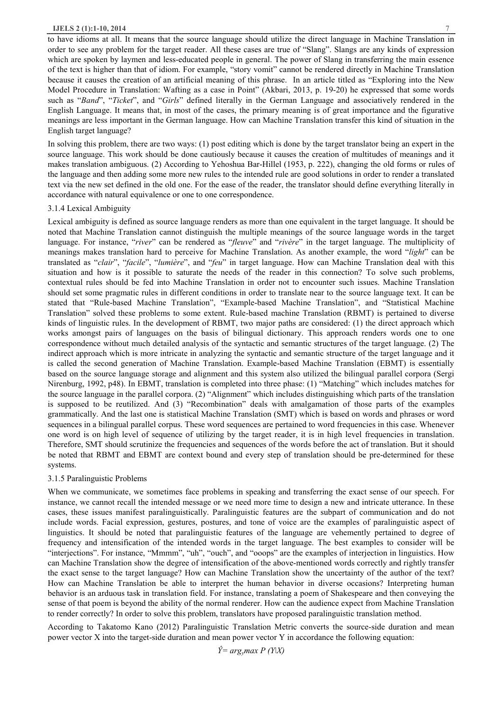#### **IJELS 2 (1):1-10, 2014** 7

to have idioms at all. It means that the source language should utilize the direct language in Machine Translation in order to see any problem for the target reader. All these cases are true of "Slang". Slangs are any kinds of expression which are spoken by laymen and less-educated people in general. The power of Slang in transferring the main essence of the text is higher than that of idiom. For example, "story vomit" cannot be rendered directly in Machine Translation because it causes the creation of an artificial meaning of this phrase. In an article titled as "Exploring into the New Model Procedure in Translation: Wafting as a case in Point" (Akbari, 2013, p. 19-20) he expressed that some words such as "*Band*", "*Ticket*", and "*Girls*" defined literally in the German Language and associatively rendered in the English Language. It means that, in most of the cases, the primary meaning is of great importance and the figurative meanings are less important in the German language. How can Machine Translation transfer this kind of situation in the English target language?

In solving this problem, there are two ways: (1) post editing which is done by the target translator being an expert in the source language. This work should be done cautiously because it causes the creation of multitudes of meanings and it makes translation ambiguous. (2) According to Yehoshua Bar-Hillel (1953, p. 222), changing the old forms or rules of the language and then adding some more new rules to the intended rule are good solutions in order to render a translated text via the new set defined in the old one. For the ease of the reader, the translator should define everything literally in accordance with natural equivalence or one to one correspondence.

# 3.1.4 Lexical Ambiguity

Lexical ambiguity is defined as source language renders as more than one equivalent in the target language. It should be noted that Machine Translation cannot distinguish the multiple meanings of the source language words in the target language. For instance, "*river*" can be rendered as "*fleuve*" and "*rivère*" in the target language. The multiplicity of meanings makes translation hard to perceive for Machine Translation. As another example, the word "*light*" can be translated as "*clair*", "*facile*", "*lumière*", and "*feu*" in target language. How can Machine Translation deal with this situation and how is it possible to saturate the needs of the reader in this connection? To solve such problems, contextual rules should be fed into Machine Translation in order not to encounter such issues. Machine Translation should set some pragmatic rules in different conditions in order to translate near to the source language text. It can be stated that "Rule-based Machine Translation", "Example-based Machine Translation", and "Statistical Machine Translation" solved these problems to some extent. Rule-based machine Translation (RBMT) is pertained to diverse kinds of linguistic rules. In the development of RBMT, two major paths are considered: (1) the direct approach which works amongst pairs of languages on the basis of bilingual dictionary. This approach renders words one to one correspondence without much detailed analysis of the syntactic and semantic structures of the target language. (2) The indirect approach which is more intricate in analyzing the syntactic and semantic structure of the target language and it is called the second generation of Machine Translation. Example-based Machine Translation (EBMT) is essentially based on the source language storage and alignment and this system also utilized the bilingual parallel corpora (Sergi Nirenburg, 1992, p48). In EBMT, translation is completed into three phase: (1) "Matching" which includes matches for the source language in the parallel corpora. (2) "Alignment" which includes distinguishing which parts of the translation is supposed to be reutilized. And (3) "Recombination" deals with amalgamation of those parts of the examples grammatically. And the last one is statistical Machine Translation (SMT) which is based on words and phrases or word sequences in a bilingual parallel corpus. These word sequences are pertained to word frequencies in this case. Whenever one word is on high level of sequence of utilizing by the target reader, it is in high level frequencies in translation. Therefore, SMT should scrutinize the frequencies and sequences of the words before the act of translation. But it should be noted that RBMT and EBMT are context bound and every step of translation should be pre-determined for these systems.

# 3.1.5 Paralinguistic Problems

When we communicate, we sometimes face problems in speaking and transferring the exact sense of our speech. For instance, we cannot recall the intended message or we need more time to design a new and intricate utterance. In these cases, these issues manifest paralinguistically. Paralinguistic features are the subpart of communication and do not include words. Facial expression, gestures, postures, and tone of voice are the examples of paralinguistic aspect of linguistics. It should be noted that paralinguistic features of the language are vehemently pertained to degree of frequency and intensification of the intended words in the target language. The best examples to consider will be "interjections". For instance, "Mmmm", "uh", "ouch", and "ooops" are the examples of interjection in linguistics. How can Machine Translation show the degree of intensification of the above-mentioned words correctly and rightly transfer the exact sense to the target language? How can Machine Translation show the uncertainty of the author of the text? How can Machine Translation be able to interpret the human behavior in diverse occasions? Interpreting human behavior is an arduous task in translation field. For instance, translating a poem of Shakespeare and then conveying the sense of that poem is beyond the ability of the normal renderer. How can the audience expect from Machine Translation to render correctly? In order to solve this problem, translators have proposed paralinguistic translation method.

According to Takatomo Kano (2012) Paralinguistic Translation Metric converts the source-side duration and mean power vector X into the target-side duration and mean power vector Y in accordance the following equation: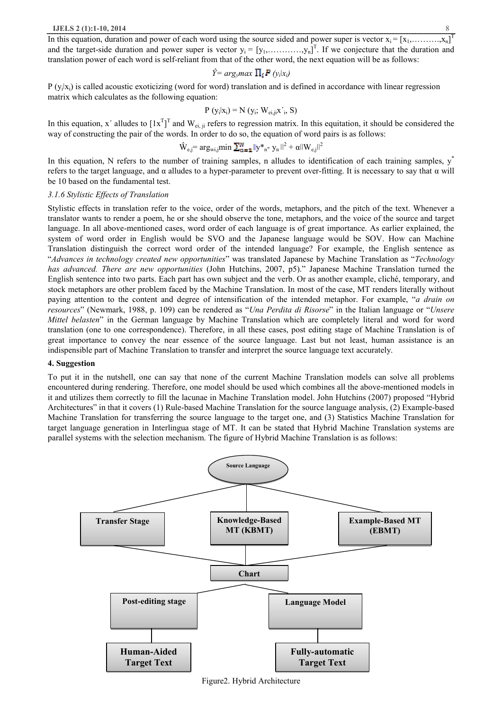In this equation, duration and power of each word using the source sided and power super is vector  $x_i = [x_1, \ldots, x_n]^T$ and the target-side duration and power super is vector  $y_i = [y_1, \dots, y_n]^T$ . If we conjecture that the duration and translation power of each word is self-reliant from that of the other word, the next equation will be as follows:

$$
\hat{Y} = arg_{y}max \prod_{i} P(y_{i}|x_{i})
$$

 $P(y_i|x_i)$  is called acoustic exoticizing (word for word) translation and is defined in accordance with linear regression matrix which calculates as the following equation:

$$
P (y_i | x_i) = N (y_i; W_{ei,ji} x', S)
$$

In this equation, x' alludes to  $[1x^T]^T$  and  $W_{ei,ji}$  refers to regression matrix. In this equitation, it should be considered the way of constructing the pair of the words. In order to do so, the equation of word pairs is as follows:

$$
\hat{\mathbf{W}}_{\text{e},j} = \arg_{\text{wi},j} \min \sum_{n=1}^{N} ||\mathbf{y} \cdot \mathbf{y}_{n} - \mathbf{y}_{n}||^{2} + \alpha ||\mathbf{W}_{\text{e},j}||^{2}
$$

In this equation, N refers to the number of training samples, n alludes to identification of each training samples,  $y^*$ refers to the target language, and α alludes to a hyper-parameter to prevent over-fitting. It is necessary to say that α will be 10 based on the fundamental test.

# *3.1.6 Stylistic Effects of Translation*

Stylistic effects in translation refer to the voice, order of the words, metaphors, and the pitch of the text. Whenever a translator wants to render a poem, he or she should observe the tone, metaphors, and the voice of the source and target language. In all above-mentioned cases, word order of each language is of great importance. As earlier explained, the system of word order in English would be SVO and the Japanese language would be SOV. How can Machine Translation distinguish the correct word order of the intended language? For example, the English sentence as "*Advances in technology created new opportunities*" was translated Japanese by Machine Translation as "*Technology has advanced. There are new opportunities* (John Hutchins, 2007, p5)." Japanese Machine Translation turned the English sentence into two parts. Each part has own subject and the verb. Or as another example, cliché, temporary, and stock metaphors are other problem faced by the Machine Translation. In most of the case, MT renders literally without paying attention to the content and degree of intensification of the intended metaphor. For example, "*a drain on resources*" (Newmark, 1988, p. 109) can be rendered as "*Una Perdita di Risorse*" in the Italian language or "*Unsere Mittel belasten*" in the German language by Machine Translation which are completely literal and word for word translation (one to one correspondence). Therefore, in all these cases, post editing stage of Machine Translation is of great importance to convey the near essence of the source language. Last but not least, human assistance is an indispensible part of Machine Translation to transfer and interpret the source language text accurately.

#### **4. Suggestion**

To put it in the nutshell, one can say that none of the current Machine Translation models can solve all problems encountered during rendering. Therefore, one model should be used which combines all the above-mentioned models in it and utilizes them correctly to fill the lacunae in Machine Translation model. John Hutchins (2007) proposed "Hybrid Architectures" in that it covers (1) Rule-based Machine Translation for the source language analysis, (2) Example-based Machine Translation for transferring the source language to the target one, and (3) Statistics Machine Translation for target language generation in Interlingua stage of MT. It can be stated that Hybrid Machine Translation systems are parallel systems with the selection mechanism. The figure of Hybrid Machine Translation is as follows:



Figure2. Hybrid Architecture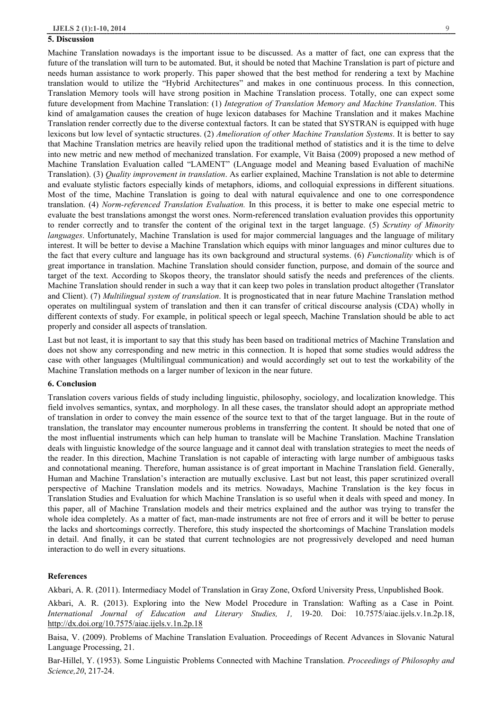#### **5. Discussion**

Machine Translation nowadays is the important issue to be discussed. As a matter of fact, one can express that the future of the translation will turn to be automated. But, it should be noted that Machine Translation is part of picture and needs human assistance to work properly. This paper showed that the best method for rendering a text by Machine translation would to utilize the "Hybrid Architectures" and makes in one continuous process. In this connection, Translation Memory tools will have strong position in Machine Translation process. Totally, one can expect some future development from Machine Translation: (1) *Integration of Translation Memory and Machine Translation*. This kind of amalgamation causes the creation of huge lexicon databases for Machine Translation and it makes Machine Translation render correctly due to the diverse contextual factors. It can be stated that SYSTRAN is equipped with huge lexicons but low level of syntactic structures. (2) *Amelioration of other Machine Translation Systems*. It is better to say that Machine Translation metrics are heavily relied upon the traditional method of statistics and it is the time to delve into new metric and new method of mechanized translation. For example, Vίt Baisa (2009) proposed a new method of Machine Translation Evaluation called "LAMENT" (LAnguage model and Meaning based Evaluation of machiNe Translation). (3) *Quality improvement in translation*. As earlier explained, Machine Translation is not able to determine and evaluate stylistic factors especially kinds of metaphors, idioms, and colloquial expressions in different situations. Most of the time, Machine Translation is going to deal with natural equivalence and one to one correspondence translation. (4) *Norm-referenced Translation Evaluation.* In this process, it is better to make one especial metric to evaluate the best translations amongst the worst ones. Norm-referenced translation evaluation provides this opportunity to render correctly and to transfer the content of the original text in the target language. (5) *Scrutiny of Minority languages*. Unfortunately, Machine Translation is used for major commercial languages and the language of military interest. It will be better to devise a Machine Translation which equips with minor languages and minor cultures due to the fact that every culture and language has its own background and structural systems. (6) *Functionality* which is of great importance in translation. Machine Translation should consider function, purpose, and domain of the source and target of the text. According to Skopos theory, the translator should satisfy the needs and preferences of the clients. Machine Translation should render in such a way that it can keep two poles in translation product altogether (Translator and Client). (7) *Multilingual system of translation*. It is prognosticated that in near future Machine Translation method operates on multilingual system of translation and then it can transfer of critical discourse analysis (CDA) wholly in different contexts of study. For example, in political speech or legal speech, Machine Translation should be able to act properly and consider all aspects of translation.

Last but not least, it is important to say that this study has been based on traditional metrics of Machine Translation and does not show any corresponding and new metric in this connection. It is hoped that some studies would address the case with other languages (Multilingual communication) and would accordingly set out to test the workability of the Machine Translation methods on a larger number of lexicon in the near future.

## **6. Conclusion**

Translation covers various fields of study including linguistic, philosophy, sociology, and localization knowledge. This field involves semantics, syntax, and morphology. In all these cases, the translator should adopt an appropriate method of translation in order to convey the main essence of the source text to that of the target language. But in the route of translation, the translator may encounter numerous problems in transferring the content. It should be noted that one of the most influential instruments which can help human to translate will be Machine Translation. Machine Translation deals with linguistic knowledge of the source language and it cannot deal with translation strategies to meet the needs of the reader. In this direction, Machine Translation is not capable of interacting with large number of ambiguous tasks and connotational meaning. Therefore, human assistance is of great important in Machine Translation field. Generally, Human and Machine Translation's interaction are mutually exclusive. Last but not least, this paper scrutinized overall perspective of Machine Translation models and its metrics. Nowadays, Machine Translation is the key focus in Translation Studies and Evaluation for which Machine Translation is so useful when it deals with speed and money. In this paper, all of Machine Translation models and their metrics explained and the author was trying to transfer the whole idea completely. As a matter of fact, man-made instruments are not free of errors and it will be better to peruse the lacks and shortcomings correctly. Therefore, this study inspected the shortcomings of Machine Translation models in detail. And finally, it can be stated that current technologies are not progressively developed and need human interaction to do well in every situations.

# **References**

Akbari, A. R. (2011). Intermediacy Model of Translation in Gray Zone, Oxford University Press, Unpublished Book.

Akbari, A. R. (2013). Exploring into the New Model Procedure in Translation: Wafting as a Case in Point*. International Journal of Education and Literary Studies, 1,* 19-20. Doi: 10.7575/aiac.ijels.v.1n.2p.18, http://dx.doi.org/10.7575/aiac.ijels.v.1n.2p.18

Baisa, V. (2009). Problems of Machine Translation Evaluation. Proceedings of Recent Advances in Slovanic Natural Language Processing, 21.

Bar-Hillel, Y. (1953). Some Linguistic Problems Connected with Machine Translation. *Proceedings of Philosophy and Science,20*, 217-24.